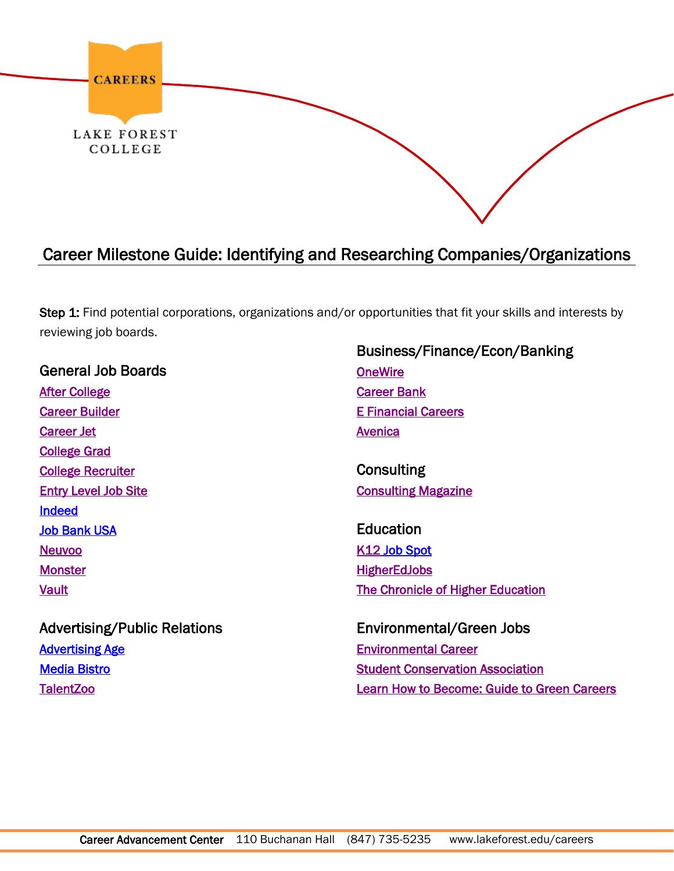

## Career Milestone Guide: Identifying and Researching Companies/Organizations

Step 1: Find potential corporations, organizations and/or opportunities that fit your skills and interests by reviewing job boards.

General Job Boards [After College](http://www.aftercollege.com/)  [Career Builder](http://www.careerbuilder.com/)  [Career Jet](http://www.careerjet.com/)  [College Grad](http://www.collegegrad.com/)  [College Recruiter](http://www.collegerecruiter.com/) [Entry Level Job Site](http://www.entryleveljobsite.com/)  [Indeed](http://www.indeed.com/)  [Job Bank USA](http://www.jobbankusa.com/)  [Neuvoo](http://neuvoo.ca/en)  **[Monster](http://www.monster.com/)** [Vault](http://access.vault.com/career-insider-login.aspx?aid=256928) 

Business/Finance/Econ/Banking **OneWire** [Career Bank](http://www.careerbank.com/)  [E Financial Careers](http://www.efinancialcareers.com/?gclid=Cj0KEQiAzb-kBRDe49qh9s75m-wBEiQATOxgwZDla9nFPbLhY1ab84XBjFmRK2k3Bgr9TxHZdBW1rD0aAp7Q8P8HAQ)  **Avenica** 

**Consulting** [Consulting Magazine](http://www.consultingmag.com/careers/) 

Education [K12](http://www.teachers-teachers.com/) Job Spot **HigherEdJobs** [The Chronicle of Higher Education](http://www.chronicle.com/) 

Advertising/Public Relations [Advertising Age](https://adage.com/)  [Media Bistro](https://www.mediabistro.com/jobs)  **TalentZoo** 

Environmental/Green Jobs [Environmental Career](http://www.environmentalcareer.com/)  [Student Conservation Association](http://www.thesca.org/)  [Learn How to Become: Guide to Green Careers](http://www.learnhowtobecome.org/green-careers/)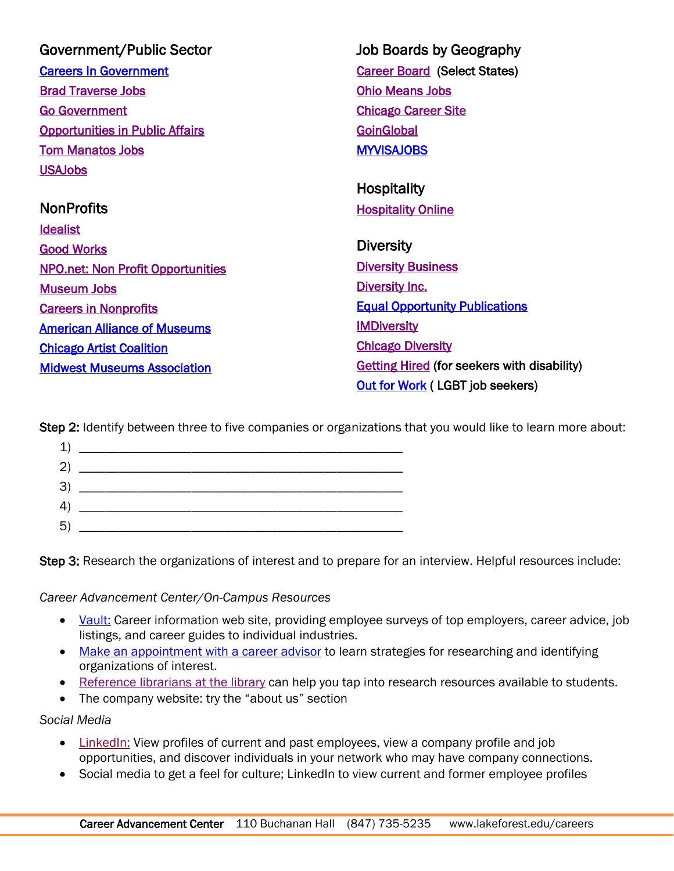| Government/Public Sector                 | <b>Job Boards by Geography</b>                     |
|------------------------------------------|----------------------------------------------------|
| <b>Careers In Government</b>             | <b>Career Board (Select States)</b>                |
| <b>Brad Traverse Jobs</b>                | <b>Ohio Means Jobs</b>                             |
| <b>Go Government</b>                     | <b>Chicago Career Site</b>                         |
| <b>Opportunities in Public Affairs</b>   | GoinGlobal                                         |
| <b>Tom Manatos Jobs</b>                  | <b>MYVISAJOBS</b>                                  |
| <b>USAJobs</b>                           |                                                    |
|                                          | <b>Hospitality</b>                                 |
| <b>NonProfits</b>                        | <b>Hospitality Online</b>                          |
| <b>Idealist</b>                          |                                                    |
| <b>Good Works</b>                        | <b>Diversity</b>                                   |
| <b>NPO.net: Non Profit Opportunities</b> | <b>Diversity Business</b>                          |
| <b>Museum Jobs</b>                       | <b>Diversity Inc.</b>                              |
| <b>Careers in Nonprofits</b>             | <b>Equal Opportunity Publications</b>              |
| <b>American Alliance of Museums</b>      | <b>IMDiversity</b>                                 |
| <b>Chicago Artist Coalition</b>          | <b>Chicago Diversity</b>                           |
| <b>Midwest Museums Association</b>       | <b>Getting Hired (for seekers with disability)</b> |
|                                          | <b>Out for Work (LGBT job seekers)</b>             |

Step 2: Identify between three to five companies or organizations that you would like to learn more about:

| $\overline{\phantom{a}}$ , and the contract of the contract of $\overline{\phantom{a}}$ |  |
|-----------------------------------------------------------------------------------------|--|
|                                                                                         |  |
| -3<br>$\overline{a}$                                                                    |  |
| $\left(4\right)$                                                                        |  |
| -5                                                                                      |  |

Step 3: Research the organizations of interest and to prepare for an interview. Helpful resources include:

*Career Advancement Center/On-Campus Resources*

- [Vault:](http://access.vault.com/career-insider-login.aspx?aid=256928) Career information web site, providing employee surveys of top employers, career advice, job listings, and career guides to individual industries.
- [Make an appointment with a career advisor](https://foresternet.lakeforest.edu/career-planning/getting-started) to learn strategies for researching and identifying organizations of interest.
- [Reference librarians at the library](http://www.lakeforest.edu/library/) can help you tap into research resources available to students.
- The company website: try the "about us" section

*Social Media*

- [LinkedIn:](http://www.linkedin.com/) View profiles of current and past employees, view a company profile and job opportunities, and discover individuals in your network who may have company connections.
- Social media to get a feel for culture; LinkedIn to view current and former employee profiles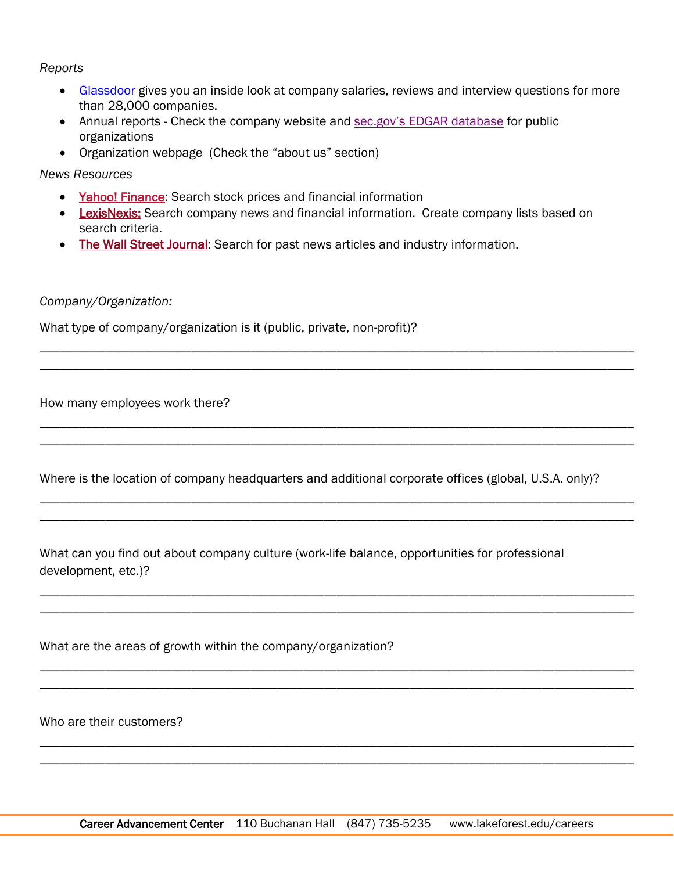## *Reports*

- [Glassdoor](http://www.glassdoor.com/) gives you an inside look at company salaries, reviews and interview questions for more than 28,000 companies.
- Annual reports Check the company website and [sec.gov's EDGAR database](https://www.sec.gov/edgar/searchedgar/companysearch.html) for public organizations
- Organization webpage (Check the "about us" section)

*News Resources*

- [Yahoo! Finance:](http://finance.yahoo.com/) Search stock prices and financial information
- **ExisNexis:** Search company news and financial information. Create company lists based on search criteria.

\_\_\_\_\_\_\_\_\_\_\_\_\_\_\_\_\_\_\_\_\_\_\_\_\_\_\_\_\_\_\_\_\_\_\_\_\_\_\_\_\_\_\_\_\_\_\_\_\_\_\_\_\_\_\_\_\_\_\_\_\_\_\_\_\_\_\_\_\_\_\_\_\_\_\_\_\_\_\_\_\_\_\_\_\_\_\_\_\_\_ \_\_\_\_\_\_\_\_\_\_\_\_\_\_\_\_\_\_\_\_\_\_\_\_\_\_\_\_\_\_\_\_\_\_\_\_\_\_\_\_\_\_\_\_\_\_\_\_\_\_\_\_\_\_\_\_\_\_\_\_\_\_\_\_\_\_\_\_\_\_\_\_\_\_\_\_\_\_\_\_\_\_\_\_\_\_\_\_\_\_

\_\_\_\_\_\_\_\_\_\_\_\_\_\_\_\_\_\_\_\_\_\_\_\_\_\_\_\_\_\_\_\_\_\_\_\_\_\_\_\_\_\_\_\_\_\_\_\_\_\_\_\_\_\_\_\_\_\_\_\_\_\_\_\_\_\_\_\_\_\_\_\_\_\_\_\_\_\_\_\_\_\_\_\_\_\_\_\_\_\_ \_\_\_\_\_\_\_\_\_\_\_\_\_\_\_\_\_\_\_\_\_\_\_\_\_\_\_\_\_\_\_\_\_\_\_\_\_\_\_\_\_\_\_\_\_\_\_\_\_\_\_\_\_\_\_\_\_\_\_\_\_\_\_\_\_\_\_\_\_\_\_\_\_\_\_\_\_\_\_\_\_\_\_\_\_\_\_\_\_\_

\_\_\_\_\_\_\_\_\_\_\_\_\_\_\_\_\_\_\_\_\_\_\_\_\_\_\_\_\_\_\_\_\_\_\_\_\_\_\_\_\_\_\_\_\_\_\_\_\_\_\_\_\_\_\_\_\_\_\_\_\_\_\_\_\_\_\_\_\_\_\_\_\_\_\_\_\_\_\_\_\_\_\_\_\_\_\_\_\_\_ \_\_\_\_\_\_\_\_\_\_\_\_\_\_\_\_\_\_\_\_\_\_\_\_\_\_\_\_\_\_\_\_\_\_\_\_\_\_\_\_\_\_\_\_\_\_\_\_\_\_\_\_\_\_\_\_\_\_\_\_\_\_\_\_\_\_\_\_\_\_\_\_\_\_\_\_\_\_\_\_\_\_\_\_\_\_\_\_\_\_

\_\_\_\_\_\_\_\_\_\_\_\_\_\_\_\_\_\_\_\_\_\_\_\_\_\_\_\_\_\_\_\_\_\_\_\_\_\_\_\_\_\_\_\_\_\_\_\_\_\_\_\_\_\_\_\_\_\_\_\_\_\_\_\_\_\_\_\_\_\_\_\_\_\_\_\_\_\_\_\_\_\_\_\_\_\_\_\_\_\_ \_\_\_\_\_\_\_\_\_\_\_\_\_\_\_\_\_\_\_\_\_\_\_\_\_\_\_\_\_\_\_\_\_\_\_\_\_\_\_\_\_\_\_\_\_\_\_\_\_\_\_\_\_\_\_\_\_\_\_\_\_\_\_\_\_\_\_\_\_\_\_\_\_\_\_\_\_\_\_\_\_\_\_\_\_\_\_\_\_\_

\_\_\_\_\_\_\_\_\_\_\_\_\_\_\_\_\_\_\_\_\_\_\_\_\_\_\_\_\_\_\_\_\_\_\_\_\_\_\_\_\_\_\_\_\_\_\_\_\_\_\_\_\_\_\_\_\_\_\_\_\_\_\_\_\_\_\_\_\_\_\_\_\_\_\_\_\_\_\_\_\_\_\_\_\_\_\_\_\_\_ \_\_\_\_\_\_\_\_\_\_\_\_\_\_\_\_\_\_\_\_\_\_\_\_\_\_\_\_\_\_\_\_\_\_\_\_\_\_\_\_\_\_\_\_\_\_\_\_\_\_\_\_\_\_\_\_\_\_\_\_\_\_\_\_\_\_\_\_\_\_\_\_\_\_\_\_\_\_\_\_\_\_\_\_\_\_\_\_\_\_

\_\_\_\_\_\_\_\_\_\_\_\_\_\_\_\_\_\_\_\_\_\_\_\_\_\_\_\_\_\_\_\_\_\_\_\_\_\_\_\_\_\_\_\_\_\_\_\_\_\_\_\_\_\_\_\_\_\_\_\_\_\_\_\_\_\_\_\_\_\_\_\_\_\_\_\_\_\_\_\_\_\_\_\_\_\_\_\_\_\_ \_\_\_\_\_\_\_\_\_\_\_\_\_\_\_\_\_\_\_\_\_\_\_\_\_\_\_\_\_\_\_\_\_\_\_\_\_\_\_\_\_\_\_\_\_\_\_\_\_\_\_\_\_\_\_\_\_\_\_\_\_\_\_\_\_\_\_\_\_\_\_\_\_\_\_\_\_\_\_\_\_\_\_\_\_\_\_\_\_\_

• [The Wall Street Journal:](https://www.wsj.com/) Search for past news articles and industry information.

## *Company/Organization:*

What type of company/organization is it (public, private, non-profit)?

How many employees work there?

Where is the location of company headquarters and additional corporate offices (global, U.S.A. only)?

What can you find out about company culture (work-life balance, opportunities for professional development, etc.)?

What are the areas of growth within the company/organization?

Who are their customers?